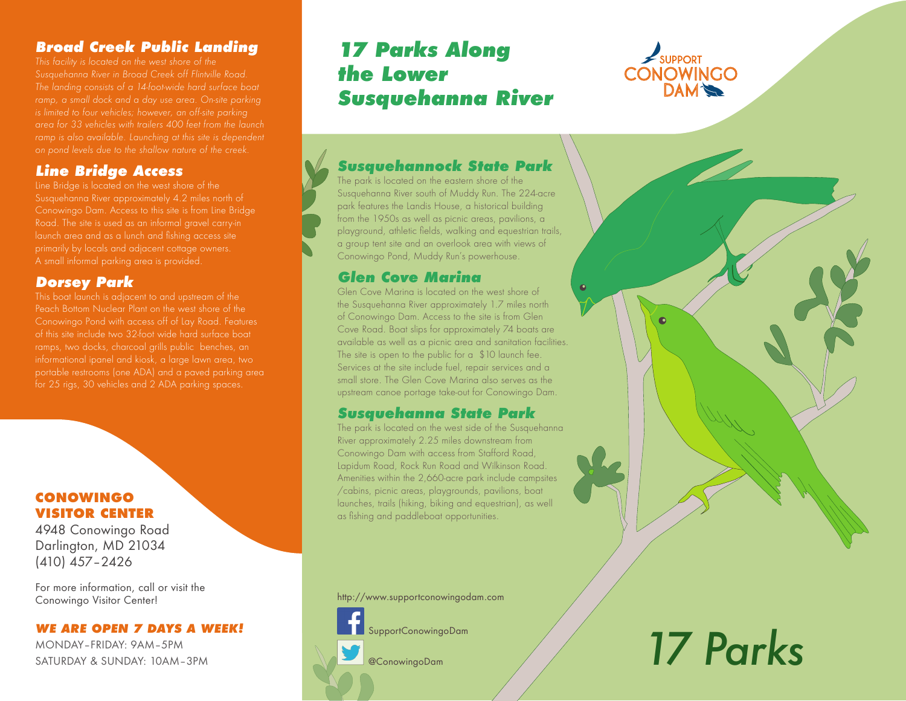# **Broad Creek Public Landing**

*This facility is located on the west shore of the Susquehanna River in Broad Creek off Flintville Road. The landing consists of a 14-foot-wide hard surface boat ramp, a small dock and a day use area. On-site parking is limited to four vehicles; however, an off-site parking area for 33 vehicles with trailers 400 feet from the launch ramp is also available. Launching at this site is dependent on pond levels due to the shallow nature of the creek.* 

# **Line Bridge Access**

Line Bridge is located on the west shore of the Susquehanna River approximately 4.2 miles north of Conowingo Dam. Access to this site is from Line Bridge Road. The site is used as an informal gravel carry-in A small informal parking area is provided.

# **Dorsey Park**

This boat launch is adjacent to and upstream of the Peach Bottom Nuclear Plant on the west shore of the Conowingo Pond with access off of Lay Road. Features of this site include two 32-foot wide hard surface boat ramps, two docks, charcoal grills public benches, an for 25 rigs, 30 vehicles and 2 ADA parking spaces.

#### **CONOWINGO VISITOR CENTER**

4948 Conowingo Road Darlington, MD 21034 (410) 457–2426

For more information, call or visit the Conowingo Visitor Center!

#### **WE ARE OPEN 7 DAYS A WEEK!**

MONDAY–FRIDAY: 9AM–5PM SATURDAY & SUNDAY: 10AM–3PM

# **17 Parks Along the Lower Susquehanna River**



# **Susquehannock State Park**

The park is located on the eastern shore of the Susquehanna River south of Muddy Run. The 224-acre park features the Landis House, a historical building from the 1950s as well as picnic areas, pavilions, a playground, athletic fields, walking and equestrian trails, a group tent site and an overlook area with views of Conowingo Pond, Muddy Run's powerhouse.

# **Glen Cove Marina**

Glen Cove Marina is located on the west shore of the Susquehanna River approximately 1.7 miles north of Conowingo Dam. Access to the site is from Glen Cove Road. Boat slips for approximately 74 boats are available as well as a picnic area and sanitation facilities. The site is open to the public for a \$10 launch fee. Services at the site include fuel, repair services and a small store. The Glen Cove Marina also serves as the upstream canoe portage take-out for Conowingo Dam.

# **Susquehanna State Park**

The park is located on the west side of the Susquehanna River approximately 2.25 miles downstream from Conowingo Dam with access from Stafford Road, Lapidum Road, Rock Run Road and Wilkinson Road. Amenities within the 2,660-acre park include campsites /cabins, picnic areas, playgrounds, pavilions, boat launches, trails (hiking, biking and equestrian), as well as fishing and paddleboat opportunities.

http://www.supportconowingodam.com



SupportConowingoDam

@ConowingoDam

# *17 Parks*